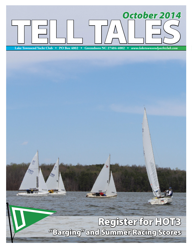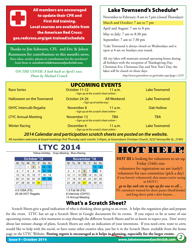M Tu W Th F Sa Su M Tu W Th F Sa Su M Tu W Th F Sa Su erspo.redcross.org/get-trained/schedule **The Coupdate their CPR and<br>
First Aid training. the American Red Cross:** Yellow=Holiday; Gray=Meeting; Blue=Racing; **Local courses are available from** All members are encouraged First Aid training.

**Thanks to Jim Schwartz, CFI, and Eric & Joleen** 16 17 18 19 20 21 22 20 21 22 23 24 25 26 17 18 19 20 21 22 23 **Rasmussen for contributions to this month's news.**  $S$ end them to *newsletter@laketownsendyachtclub.com.* **Have ideas, articles, photos or contributions for the newsletter?** 

2345678 6 7 8 9 10 11 12 3456789

24-26 SAYRA

 $\mathcal{L}$  and  $\mathcal{L}$  satisfies the same state  $\mathcal{L}$  *Photo by Michael Crouch* ON THE COVER: A look back at April's race.

## Lake Townsend's Schedule\*

November to February: 8 am to 5 pm (closed Thursdays)

March and October: 7 am to 7 pm

April and August: 7 am to 8 pm

May to July: 7 am to 8:30 pm

September: 7 am to 7:30 pm

\*Lake Townsend is always closed on Wednesdays and is open at 8 am on Sundays year round.

All city lakes will maintain normal operating hours during all holidays with the exception of Thanksgiving Day, Christmas Eve, Christmas Day and New Year's Day; the lakes will be closed on those days.

*http://www.greensboro-nc.gov/index.aspx?page=1319*

| October 11-12 | 11 $a.m.$          | <b>Lake Townsend</b>                                                                                                                                                                                                                                                             |
|---------------|--------------------|----------------------------------------------------------------------------------------------------------------------------------------------------------------------------------------------------------------------------------------------------------------------------------|
| October 24-26 | <b>All Weekend</b> | <b>Lake Townsend</b>                                                                                                                                                                                                                                                             |
| November 8    | 11 $a.m.$          | <b>Oak Hollow</b>                                                                                                                                                                                                                                                                |
| November 13   | TBA                | TBA                                                                                                                                                                                                                                                                              |
| December 6    | 11 $a.m.$          | <b>Lake Townsend</b>                                                                                                                                                                                                                                                             |
|               |                    | <b>UPCOMING EVENTS</b><br>$\cdot$ Sign up at the scratch sheet online $\cdot$<br>$\cdot$ Sign up at earlier.org $\cdot$<br>$\cdot$ Sign up at the scratch sheet online $\cdot$<br>• Sign up at the scratch sheet online •<br>$\cdot$ Sign up at the scratch sheet online $\cdot$ |

**2014 Calendar and participation scratch sheets are posted on the website.** 16 17 18 19 20 21 22 21 22 23 24 25 26 27 18 19 20 21 22 23 24

All members welcome at board meetings: first Thursday each month, 5:45pm, at Greensboro Christian Church, 3232 Yanceyville St., 27405

# **LTYC 2014**

26 Sailibration Yellow=Holiday; Gray=Meeting; Blue=Racing;

|                   |    |    |                | October '14 |         |       |  |    |                  |    | November '14       |    |    |       |
|-------------------|----|----|----------------|-------------|---------|-------|--|----|------------------|----|--------------------|----|----|-------|
| м                 | Tu | W  | Th             | F           |         | Sa Su |  | M  | Tu               | W  | Th                 | F. |    | Sa Su |
|                   |    |    | $\overline{2}$ | 3           | 4       | 5     |  |    |                  |    |                    |    |    |       |
| 6                 |    | 8  | 9              | 10          |         | 12    |  | 3  | 4                | 5  | 6                  |    | 8  | 9     |
| 13                | 14 | 15 | 16             | 17          | 18      | 19    |  | 10 | 11               | 12 | 13                 | 14 | 15 | 16    |
| 20                | 21 | 22 | 23             |             | $24$ 25 | 26    |  | 17 | 18               | 19 | 20                 | 21 | 22 | 23    |
| 27                | 28 | 29 | 30             | 31          |         |       |  | 24 | 25               | 26 | 27                 | 28 | 29 | 30    |
|                   |    |    |                |             |         |       |  |    |                  |    |                    |    |    |       |
| 4-5 VISA (FS)     |    |    |                |             |         |       |  |    | 1-2 Fall 48 (FS) |    |                    |    |    |       |
| 25-26 HOT Regatta |    |    |                |             |         |       |  |    |                  |    | 8 Interclub (OHYC) |    |    |       |

# 1-2 Fall 48 (FS) 1 12345 1 2 22 Rules\Workday

8 Interclub (OHYC) 13 Annual Meeting 25 Race Management

# HOT HELP

**HOT III** is looking for volunteers to set-up Friday (24th) nite volunteers for registration sat am (early!) volunteers for race committee (pick a day) if you haven't volunteered..that means you're racing in HOT3 ! *go to ltyc web site to sign up for one or all....* PS: customers wanted for shore passes (food/drinks)

and long sleeve pink t-shirt buyers....

**Mat's a Scratch Sheet?** What's a Scratch Sheet? 1 2 123456 1234

Scratch Sheets give a good indication of who is thinking about going to an event. It helps the organizers plan and prepare for the event. LTYC has set up a Scratch Sheet in Google documents for its events. If you expect to be at some of our  $\frac{1}{2}$  18  $\frac{1}{2}$  21  $\frac{1}{2}$  21  $\frac{1}{2}$  21  $\frac{1}{2}$  21  $\frac{1}{2}$  21  $\frac{1}{2}$  21  $\frac{1}{2}$ upcoming events, take a few moments to step through the different Scratch Sheets and let us know to expect you. Don' worry  $\frac{1}{\sqrt{2}}$ ne social, or nave s  $11111$  Clairborne Young  $1111$ wot  $\frac{3}{4}$  dramatic  $\frac{3}{4}$ would like to help with the social, or have some other creative idea, just list it in the Scratch Sheet, available from the home page or the LTYC Website. **Posting regrets is encouraged as it helps in planning, especially for the larger events.** about last minute change of plans, Scratch Sheets are only an indication of your intentions. If you need crew, want to crew,

 $\frac{1}{\sqrt{2}}$  $\frac{0}{2}$   $\frac{0}{2}$   $\frac{0}{2}$   $\frac{1}{2}$   $\frac{1}{2}$ 

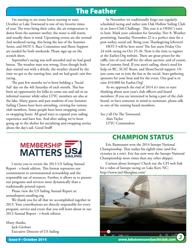## The Feather

I'm starting to see some leaves starting to turn. October at Lake Townsend is one of my favorite times of year. The trees bring their color, the air temperature is down from the summer swelter, the water is still warm, and usually there is wind. Upcoming events are the normal 2nd weekend racing, this being the last of the Summer Series, and HOT-3. Race Committee and Shore Support are needed for both weekends. Please sign-up on the scratch sheet.

September's racing was well attended and we had good breeze. The weather man was wrong. Even though both days started out with a drizzle, the weather cleared by the time we got to the starting line, and we had good, rain free racing.

The past few months we've been holding a 'Social Sail' day on the 4th Saturday of each month. This has been an opportunity for folks to come out and sail in an informal manner while other LTYC members are also at the lake. Many guests and past students of our Summer Sailing Classes have been attending, crewing for various club members. Some people have been swapping crews or swapping boats. All good ways to expand your sailing experience and have fun. And after sailing we've been going up to the shelter for socializing and swapping stories about the day's sail. Good Stuff!

In November we traditionally forgo our regularly scheduled racing and rather join Oak Hollow Sailing Club in an Inter-Club Challenge. This year it is OHSC's turn to host. Mark your calendars for Saturday, Nov 8. Weather permitting, Saturday November 22 is a perfect time for a post-turkey social sail. Bring your Thanksgiving leftovers!

HOT-3 will be here soon! The fun starts Friday Oct 24 with racing on Oct 25-26. Now is the time to register at the Earlier.Org website. There are great prizes for the raffle, lots of cool stuff for the silent auction, and of course, lots of yummy food. If you aren't sailing, there's need for help on RC, SCAT Boats, and Shore/Social support. Or just come out to join the fun at the social. Start gathering sponsors for your boat and for the event. Our goal is to raise \$10,000 for Earlier.Org!

As we approach the end of 2014 it's time to start thinking about next year's club officers and board members. If you are interested in being a part of the club board, or have someone in mind to nominate, please talk to one of the existing board members.

See y'all On The Townsend, Alan Taylor LTYC Commodore

# **MEMBERSHIP MATTERS**

I invite you to review the 2013 US Sailing Annual Report - e-book edition. This format represents our commitment to environmental stewardship and the responsible use of resources. Further, it allows us to present our programs and services more dynamically than a traditionally printed report.

Please view the US Sailing Annual Report at: annualreport.ussailing.org

We thank you for all that we accomplished together in 2013. Your contributions are directly responsible for every program, service and event that you will learn about in our 2013 Annual Report - e-book edition

Many thanks, Jack Gierhart Executive Director of US Sailing

## CHAMPION STATUS

Eric Rasmussen won the 2014 Isotope National Championship. That makes his eighth time (and five victories in a row). Eric has now won the Isotope National Championship more times than any other skipper.

Curious about Isotopes? Check out the CFI web link for a video of Isotope racing on Lake Kerr, NC: http://www.intl-fiberglass.com/

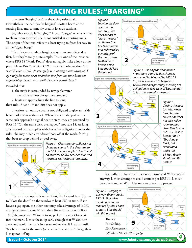# Racing Rules: "Barging"

The term "barging" isn't in the racing rules at all. Nevertheless, the hail "you're barging" is often heard at the starting line, and commonly used in later discussions.

So, what exactly is "barging"? A boat "barges" when she tries to claim room to which she is not entitled at a starting mark. The origin of the term refers to a boat trying to force her way in at the "signal barge".

The rules surrounding barging may seem complicated at first, but they're really quite simple. This is one of the instances where RRS 18 "Mark-Room" does not apply. Take a look at the preamble to Part 2, Section C "At marks and obstructions". It says *"Section C rules do not apply at a starting mark surrounded by navigable water or at its anchor line from the time boats are approaching them to start until they have passed them."*

Provided that:

1. the mark is surrounded by navigable water (which is almost always the case), and

2. boats are approaching the line to start, then rule 18 (and 19 and 20) does not apply.

Therefore, an outside boat is not obligated to give an inside boat mark-room at the start. When boats overlapped on the same tack approach a signal boat to start, they are governed by RRS 11 "On the same tack, overlapped," not rule 18. As long as a leeward boat complies with her other obligations under the rules, she may pinch a windward boat off at the mark, forcing that boat to drop behind or peel away.



Figure 1 – Classic barging. Blue is not changing course in this diagram, so rule 16.1 does not apply to her. There's no room for Yellow between Blue and the mark, so she has to turn away.

koomt

There are a couple of caveats. First, the leeward boat (L) has to "close the door" on the windward boat (W) in time. If she leaves a gap open, the other boat may take advantage of it. If L changes course to shut W out, then (in accordance with RRS 16.1) she must give W room to keep clear. L cannot force W into the mark. L must head up early enough that W can turn away and avoid the mark in a seamanlike way. If L waits until W's bow is under the mark (or so close that she can't tack), then L may not luff up.

Figure 2 – Leaving the door open. In this scenario, Blue does not act to "close the door" on Yellow. She holds her course and Yellow takes advantage of the room given. Neither boat breaks a rule. Blue should lose this protest.



Signal Boat surrounded by navigable water

At positions 2 and 3, Blue changes course and is obligated by RRS 16.1 to give Yellow room to keep clear. Yellow responds promptly, meeting her obligation to keep clear of Blue, but has

Signal Boat surrounded by navigable water



Figure 4 – Closing the door too late. When Blue changes course, she does not give Yellow room to keep clear. Blue breaks RRS 16.1. Yellow breaks RRS 31 (Touching a Mark) but is exonerated under RRS 64.1(a). Yellow should win this protest.

Secondly, if L has closed the door in time and W "barges in" anyway, L must attempt to avoid contact per RRS 14. L must bear away and let W in. Her only recourse is to protest.

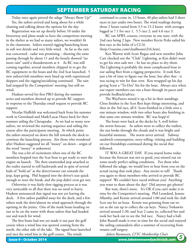### September Saturday Racing

Today once again proved the adage "Always Show Up!" Yes, the sailors arrived and hung about for a while chatting and talking about the options for the day.

Registration was set up shortly before 10 under the breezeway and plans made to have the competitors meeting in the shelter as we had so many sailors, we wouldn't fit in the classroom. Sailors started rigging/launching boats in soft wet drizzle and very little wind. As far as the rain was concerned - radar was promising – showing the rains passing through by about 11 and the hourly showed "no more rain" until a thunderstorm at 4. As RC was still coming together, several members chipped in to get the RC equipment to the boats and the 2nd Scat launched. 5 new sailors/club members were lined up with experienced skippers and the rigging\socializing continued. The rain had stopped by the Competitors' meeting; but still no wind.

Hudson served his first PRO during the summer series and members showed up to provide RC support in response to the Thursday email request to provide RC support.

Nicolas Huffeldt was welcomed back from his summer work in Greenland and Mark/Lucas Hayes back for their summer sailing the Chesapeake. As we had so many new sailors, we reviewed the starting sequence and sailing the course after the participants meeting. At which point the sailors moseyed on down the hill towards the dock to continue the launching process. (for those who wondered after Hudson suggested we all "mosey" on down - origin of the word "mosey" is unknown)

The was a bit of excitement when one of the RC members hopped into the Scat boat to get ready to start the engine an launch. The then unattended jeep attached to the trailer started to roll backwards and in spite of several hails of "hold on" as the driver/owner ran towards the jeep, kept going. Phil hopped into the driver's seat quick enough to reset the break, and the jeep didn't even get wet.

Otherwise it was fairly slow rigging process as it was very noticeable to all that there was no need to hurry. Hudson announced that signal was not yet leaving the dock. A few sailors paddled away for the dock, and a few others took the slow/almost no wind approach through the opening in the jetties. One of the mark boats heading on out to be on the water with those sailors that had headed out and watch for wind.

The first boats had not yet made it out past the golf course when a wind line was spotted coming from the north, the other side of the lake. The signal boat launched and met the wind line at the golf course. The winds

continued to come in. 13 boats, 40 plus sailors had 3 short races in just under two hours. The wind readings during those 2 hours varied from 3.5 to 13.2 knots with averages logged as 7.1 for race 1, 5.5 race 2, and 4.6 race 3.

RC ran MWL courses, everyone in one start, with the 2nd race being 2 laps. New member Kevin Perks sailed his first race at the helm of a CL16 (http://vaxxine.com/clsailboats/cl16.htm).

Ken Warren with Scott Bogue and new member John Carr checked out the "Club" Lightning, as Ken didn't want to get his own sails wet – he has no place to dry them. The Lightning is probably the most complicated boat in our sailing fleet from a rigging perspective. It took Ken just a bit of time to figure out the boat, but after that - it was racing to win for that crew. Ken wrapped up his day giving Scott a "To-Dos" list for the boat. Always nice when our expert members can run a boat through its paces and provide feedback/advice.

The WayFarers mixed it up a bit in their standings. Close finishes in the Scot fleet kept things interesting, and then in the 3rd race, all 6 Scots finished in a little over a one minute window, with two other boats also finishing in that same one minute window. RC was hopp'n!

The boats were back at the docks by 3, well before the storm forecast. As sailors went to collect the trailers, the sun broke through the clouds and it was bright and beautiful moment. The storm never arrived. Subway sandwich consumption, story-telling, visiting and building on our friendships continued during the social that followed.

IT WAS A GREAT DAY. If you stayed home today because the forecast was not so good, you missed out on some nearly perfect sailing conditions. For those who followed the adage, we would love to hear from you on the actual racing that took place. Any stories to tell? Thank you again to those members who arrived to provide RC support! We couldn't have raced without you! Anything you want to share about the day? Did anyone get photos?

But wait, there's more. It's OK if you can't make it in time for the Competitor's meeting. Phil Leondard, Jeanne Allamby, and Kenzie arrived around 1:00 and took the club Scot out for an hour. Kenzie was grinning from ear-toear as she ran up to collect the car keys. Nancy Torkawitz arrived around 1:30, and Scat 2 came in, collected her and took her back out to see the 3rd race. Nancy had a ball. John Russell made it over in time for the social and enjoyed the sailing camaraderie after a summer of recovering from rotator cuff surgery.

*-Joleen Rasmussen, LTYC Membership Chair*

Issue 9 • October 2014 *www.laketownsendyachtclub.com 5*

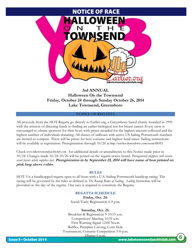

#### **3rd ANNUAL Halloween On the Townsend Friday, October 24 through Sunday October 26, 2014 Lake Townsend, Greensboro**

#### NOTICE OF REGATTA

All proceeds from the HOT Regatta go directly to Earlier.org, a Greensboro based charity founded in 1995 with the mission of directing funds to finding an earlier biological test for breast cancer. Every crew is encouraged to obtain sponsors for their boat; with prizes awarded for the highest amount collected and the highest number of individuals donating. All classes of sailboats with active US Sailing Portsmouth numbers are invited to compete. There will be prizes for best costume and highest fund-raiser. Sailing instructions will be available at registration. Preregistration through 10/20 at *http://earlier.donordrive.com/event/HOT3*. *http://earlier.donordrive.com/event/HOT3.*

Check www.laketownsendyachtclub.com for additional details or amendments to this Notice made prior to 10/24. Changes made 10/24-10/26 will be posted on the regatta notice board. *Preregistered skippers will receive event favors while supplies last.* **Preregistration in by September 25, 2014 will have name of boat printed on pink long sleeve t-shirt.**

#### **RULES**

HOT-3 is a handicapped regatta open to all boats with a U.S. Sailing Portsmouth handicap rating. The racing will be governed by the rules as defined in *The Racing Rules of Sailing. Sailing Instructions* will be provided on the day of the regatta. One race is required to constitute the Regatta.

#### **REGATTA SCHEDULE**

**Friday, Oct. 24:** Social/Early Registration 6-9 p.m.

#### **Saturday, Oct. 25:**

Breakfast & Registration 9-10:15 a.m. Competitors' Meeting 10:35 a.m. First Warning Signal 12:00 Noon Raffles, Pumpkin Carving, Corn Hole Tournament, Costume Competition 5-8 p.m.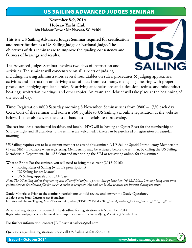## US Sailing Advanced Judges Seminar

**November 8-9, 2014 Hobcaw Yacht Club 180 Hobcaw Drive • Mt Pleasant, SC 29464**

**This is a US Sailing Advanced Judges Seminar required for certification and recertification as a US Sailing Judge or National Judge. The objectives of this seminar are to improve the quality, consistency and fairness of hearings and results.** 

The Advanced Judges Seminar involves two days of instruction and activities. The seminar will concentrate on all aspects of judging



including: hearing administration; several roundtables on rules, procedures & judging approaches; activities and instruction on deriving a set of facts from testimony, managing a hearing with proper procedures, applying applicable rules, & arriving at conclusions and a decision; redress and misconduct hearings; arbitration meetings; and other topics. An exam and debrief will take place at the beginning of the second day.

Time: Registration 0800 Saturday morning 8 November, Seminar runs from 0800 – 1730 each day. Cost: Cost of the seminar and exam is \$60 payable to US Sailing via online registration at the website below. The fee also covers the cost of handout materials, test processing.

The cost includes a continental breakfast, and lunch. HYC will be hosting an Oyster Roast for the membership on Saturday night and all attendees to the seminar are welcomed. Tickets can be purchased at registration on Saturday morning.

US Sailing requires you to be a current member to attend this seminar. A US Sailing Special Introductory Membership (1 year SIM) is available when registering. Membership may be activated before the seminar, by calling the US Sailing Membership Department, 401.683.0800 and mentioning the SIM or registering online, for this seminar.

What to Bring: For the seminar, you will need to bring the current (2013-2016):

- • Racing Rules of Sailing (with US prescriptions)
- US Sailing Judges Manual
- US Sailing Appeals and ISAF Cases

*Note: The US Sailing Judges Program requires all certified judges to possess these publications (JP 12.2.3(d)). You may bring these three publications as downloaded files for use on a tablet or computer. You will not be able to access the Internet during the exam.* 

Study Materials: Prior to the seminar, participants should review and answer the Study Questions. **A link to these Study Questions can found here:**  http://raceadmin.ussailing.org/Assets/Race+Admin/Judges/JTTWP/2013JudgesTest\_StudyQuestions\_Package\_Student\_2013\_01\_01.pdf

Advanced registration is required. The deadline for registration is 4 November 2014. **Registration and payment can be found here:** http://raceadmin.ussailing.org/Judges/Seminar\_Calendar.htm

For further information, contact JD Rosser at sailcora@aol.com.

Questions regarding registration please call US Sailing at 401-683-0800.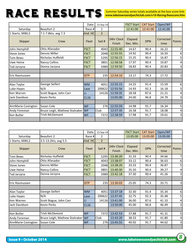Summer Saturday series totals available at the box score link: *www.laketownsendyachtclub.com/v10-Racing/boxscore.htm*

|                    |                               | Date:       | $13-Sep-14$       |                      | <b>FSCT Start</b>    | <b>CAT Start</b> | Open/WF           |        |
|--------------------|-------------------------------|-------------|-------------------|----------------------|----------------------|------------------|-------------------|--------|
| Saturday           | Beaufort 2                    | Race #      | $\mathbf{1}$      |                      | 12:41:00             | 12:41:00         | 12:41:00          |        |
| 1 Starts, MWL2     | 7.1-7.8kts, avg 7.3           | Vind HC     | $\overline{2}$    |                      |                      |                  |                   |        |
| Skipper            | Crew                          | Fleet       | Sail #            | 24hr Clock<br>Finish | Elapsed<br>Dec. Min. | <b>DPN</b>       | Corrected<br>time | Points |
| John Hemphill      | Otto Afanador                 | <b>FSCT</b> | 4043              | 12:55:40             | 14.67                | 90.4             | 16.22             | 7      |
| Steve Jones        | Dennis Miller                 | <b>FSCT</b> | 2048 <sup>1</sup> | 12:55:55             | 14.92                | 90.4             | 16.50             | 6      |
| Tom Bews           | Nicholas Huffeldt             | <b>FSCT</b> | 5295              | 12:56:15             | 15.25                | 90.4             | 16.87             | 5      |
| Uwe Heine          | Nancy Collins                 | <b>FSCT</b> | 3801              | 12:58:58             | 17.97                | 90.4             | 19.87             | 4      |
| Tad Jarzyna        | Donna Jarzyna                 | <b>FSCT</b> | 5989              | 12:59:50             | 18.83                | 90.4             | 20.83             | 3      |
|                    |                               |             |                   |                      |                      |                  |                   |        |
| Eric Rasmussen     |                               | <b>ISTP</b> | 235               | 12:54:10             | 13.17                | 74.3             | 17.72             | 3      |
|                    |                               |             |                   |                      |                      |                  |                   |        |
| Alan Taylor        | George Seifert                | <b>WM</b>   | 4051              | 12:55:15             | 14.25                | 91.4             | 15.59             | 6      |
| Luke Hayes         | N/A                           | Lase        | 200622            | 12:55:56             | 14.93                | 92.3             | 16.18             | 5      |
| Ken Warren         | Scott Bogue, John Carr        | LI          | 14126             | 12:59:35             | 18.58                | 87.6             | 21.21             | 4      |
| Jack Davidson      | Kevin Perks                   | <b>CL16</b> |                   | 13:05:00             | 24.00                | 96.8             | 24.79             | 3      |
|                    |                               |             |                   |                      |                      |                  |                   |        |
| AnnMarie Covington | Susan Cole                    | <b>WF</b>   | 276               | 12:55:59             | 14.98                | 91.7             | 16.34             | 5      |
| Andy Foreman       | Bruce Leigh, Mathew Stalnaker | <b>WF</b>   | Club              | 12:57:35             | 16.58                | 91.7             | 18.08             | 4      |
| Ken Butler         | Trish McDemont                | <b>WF</b>   | 7372              | 12:58:59             | 17.98                | 91.7             | 19.61             | 3      |
|                    |                               |             |                   |                      |                      |                  |                   |        |

|                    |                               | Date:        | 13-Sep-14      |                      | <b>FSCT Start</b>    | <b>CAT Start</b>        | Open/WF  |                         |
|--------------------|-------------------------------|--------------|----------------|----------------------|----------------------|-------------------------|----------|-------------------------|
| Saturday           | Beaufort 2                    | Race #       | $\overline{2}$ |                      | 13:05:00             | 13:05:00                | 13:05:00 |                         |
| 1 Starts, MWL2     | 3.5-13.2kts, avg 5.5          | Vind HC      | $\overline{2}$ |                      |                      |                         |          |                         |
| Skipper            | Crew                          | <b>Fleet</b> | Sail #         | 24hr Clock<br>Finish | Elapsed<br>Dec. Min. | Corrected<br><b>DPN</b> |          | <b>Points</b>           |
| Tom Bews           | Nicholas Huffeldt             | <b>FSCT</b>  | 5295           | 13:36:20             | 31.33                | 90.4                    | 34.66    | 7                       |
| John Hemphill      | Otto Afanador                 | <b>FSCT</b>  | 4043           | 13:38:07             | 33.12                | 90.4                    | 36.63    | 6                       |
| Steve Jones        | Dennis Miller                 | <b>FSCT</b>  | 2048I          | 13:38:20             | 33.33                | 90.4                    | 36.87    | 5                       |
| Uwe Heine          | <b>Nancy Collins</b>          | <b>FSCT</b>  | 3801           | 13:40:30             | 35.50                | 90.4                    | 39.27    | $\overline{\mathbf{r}}$ |
| Tad Jarzyna        | Donna Jarzyna                 | <b>FSCT</b>  | 5989           | 13:42:18             | 37.30                | 90.4                    | 41.26    | $\overline{3}$          |
|                    |                               |              |                |                      |                      |                         |          |                         |
| Eric Rasmussen     |                               | <b>ISTP</b>  | 235            | 13:30:03             | 25.05                | 74.3                    | 33.71    | $\vert$                 |
|                    |                               |              |                |                      |                      |                         |          |                         |
| Alan Taylor        | George Seifert                | <b>WM</b>    | 4051           | 13:37:18             | 32.30                | 91.4                    | 35.34    | 6                       |
| Luke Hayes         | N/A                           | Lase         | 200622         | 13:37:45             | 32.75                | 92.3                    | 35.48    | 5                       |
| Ken Warren         | Scott Bogue, John Carr        | LI           | 14126          | 13:41:00             | 36.00                | 87.6                    | 41.10    | $\vert$                 |
| Jack Davidson      | <b>Kevin Perks</b>            | <b>CL16</b>  |                | 13:50:00             | 45.00                | 96.8                    | 46.49    | $\vert$                 |
|                    |                               |              |                |                      |                      |                         |          |                         |
| Ken Butler         | Trish McDemont                | <b>WF</b>    | 7372           | 13:42:53             | 37.88                | 91.7                    | 41.31    | 5 <sup>1</sup>          |
| Andy Foreman       | Bruce Leigh, Mathew Stalnaker | <b>WF</b>    | Club           | 13:43:20             | 38.33                | 91.7                    | 41.80    | $\overline{4}$          |
| AnnMarie Covington | Susan Cole                    | <b>WF</b>    | <b>276</b>     | 13:45:55             | 40.92                | 91.7                    | 44.62    | $\overline{\mathbf{3}}$ |
|                    |                               |              |                |                      |                      |                         |          |                         |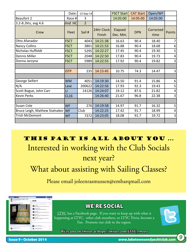|                                  | Date:       | 13-Sep-14      |                      | <b>FSCT Start</b>    | <b>CAT Start</b> | Open/WF           |        |
|----------------------------------|-------------|----------------|----------------------|----------------------|------------------|-------------------|--------|
| Beaufort 2                       | Race #      | 3              |                      | 14:05:00             | 14:05:00         | 14:05:00          |        |
| 3.2-8.2kts, avg 4.6              | Vind HC     | $\overline{2}$ |                      |                      |                  |                   |        |
| Crew                             | Fleet       | Sail #         | 24hr Clock<br>Finish | Elapsed<br>Dec. Min. | <b>DPN</b>       | Corrected<br>time | Points |
| Otto Afanador                    | <b>FSCT</b> | 4043           | 14:21:38             | 16.63                | 90.4             | 18.40             |        |
| <b>Nancy Collins</b>             | <b>FSCT</b> | 3801           | 14:21:53             | 16.88                | 90.4             | 18.68             | 6      |
| Nicholas Huffeldt                | <b>FSCT</b> | 5295           | 14:22:27             | 17.45                | 90.4             | 19.30             | 5      |
| Dennis Miller                    | <b>FSCT</b> | 2048           | 14:22:50             | 17.83                | 90.4             | 19.73             | 4      |
| Donna Jarzyna                    | <b>FSCT</b> | 5989           | 14:22:55             | 17.92                | 90.4             | 19.82             | 3      |
|                                  |             |                |                      |                      |                  |                   |        |
|                                  | <b>ISTP</b> | 235            | 14:15:45             | 10.75                | 74.3             | 14.47             | 3      |
|                                  |             |                |                      |                      |                  |                   |        |
| George Seifert                   | <b>WM</b>   | 4051           | 14:19:30             | 14.50                | 91.4             | 15.86             | 6      |
| N/A                              | Lase        | 200622         | 14:22:56             | 17.93                | 92.3             | 19.43             | 5      |
| Scott Bogue, John Carr           | $\sqcup$    | 14126          | 14:24:07             | 19.12                | 87.6             | 21.82             | 4      |
| <b>Kevin Perks</b>               | <b>CL16</b> |                | 14:26:40             | 21.67                | 96.8             | 22.38             | 3      |
|                                  |             |                |                      |                      |                  |                   |        |
| Susan Cole                       | <b>WF</b>   | 276            | 14:19:58             | 14.97                | 91.7             | 16.32             | 5      |
| Bruce Leigh, Mathew Stalnaker WF |             | Club           | 14:22:25             | 17.42                | 91.7             | 18.99             | 4      |
| <b>Trish McDemont</b>            | <b>WF</b>   | 7372           | 14:23:05             | 18.08                | 91.7             | 19.72             | 3      |
|                                  |             |                |                      |                      |                  |                   |        |

This Part is ALL ABOUT you ... Interested in working with the Club Socials next year?

What about assisting with Sailing Classes?

Please email joleenrasmussen@embarqmail.com

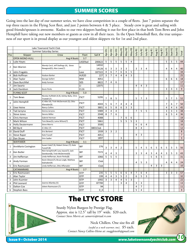## SUMMER SCORES

Going into the last day of our summer series, we have close competition in a couple of fleets. Just 7 points separate the top three racers in the Flying Scot fleet, and just 2 points between 4 & 5 place. Steady crew is great and sailing with good friends/spouses is awesome. Kudos to our two skippers battling it out for first place in that both Tom Bews and John Hemphill have taking out new members or guests as crew in all their races. In the Open Monohull fleet, the true uniqueness of our sport is in proud display as our youngest and oldest skippers vie for 1st and 2nd place.

|                |                       | Lake Townsend Yacht Club                                                |              |                |                |                |                |                |                |                |                |                |                |                |        |                |                |                |                |                |
|----------------|-----------------------|-------------------------------------------------------------------------|--------------|----------------|----------------|----------------|----------------|----------------|----------------|----------------|----------------|----------------|----------------|----------------|--------|----------------|----------------|----------------|----------------|----------------|
|                |                       | <b>Summer Saturday Series</b>                                           |              |                | Apr-R1         |                | Apr-R3         | May-R1         | May-R2         | $May-R3$       | July-R1        | July-R2        | July-R3        | Aug-R1         | Aug-R2 | Aug-R3         | Sept-R1        | Sept-R2        | Sept-R3        |                |
| Pos            | Skipper               | Crew                                                                    | Fleet        | Sail #         |                | Apr-R2         |                |                |                |                |                |                |                |                |        |                |                |                |                | Total          |
|                | <b>OPEN MONO-HULL</b> | Avg # Boats                                                             | 3.7          |                |                |                |                |                |                |                |                |                |                |                |        |                |                |                |                |                |
| $\mathbf{1}$   | Luke Hayes            |                                                                         | LASERad      | 200622         | 5              | 5              | 5              | 5              | 5              | $\overline{4}$ |                |                |                |                |        |                | 5              | 5              | 5              | 44             |
| 2              | Ken Warren            | Wendy Cecil, Jeff Stallings (4), Steve<br>Newgood(5); Alex Lowe(7)      | $\mathsf{L}$ | 14932<br>14126 | 6              | 3              | 3              | 3              | 3              |                | 3              | 3              | 4              |                |        |                | 4              | 4              | $\overline{4}$ | 40             |
| 3              | John Fragakis         |                                                                         | Lase         | 187322         | 4              | 6              | $\overline{7}$ | 6              | 6              | $\mathsf S$    |                |                |                |                |        |                |                |                |                | 34             |
| $\overline{4}$ | <b>Bob Hoffman</b>    | Hudson Barker                                                           | <b>HLR20</b> | 227            | 3              | $\overline{7}$ | $\overline{4}$ | $\overline{4}$ | 4              | 3              |                |                |                |                |        |                |                |                |                | 25             |
| 5              | Alan Taylor           | George Seifert                                                          | <b>WM</b>    | 4051           |                |                |                |                |                |                |                |                |                |                |        |                | 6              | 6              | 6              | 18             |
| 6              | Dave Burchfiel        | Andy Forman                                                             | 505          | 8822           | $\overline{7}$ | $\overline{4}$ | 6              |                |                |                |                |                |                |                |        |                |                |                |                | 17             |
| $\overline{7}$ | <b>Jim Swartz</b>     |                                                                         | H            | 12075          |                |                |                |                |                |                | 4              | $\overline{4}$ | 3              |                |        |                |                |                |                | 11             |
| 8              | Jack Davidson         | <b>Kevin Perks</b>                                                      | CL16         |                |                |                |                |                |                |                |                |                |                |                |        |                | 3              | 3              | 3              | 9              |
|                | <b>FLYING SCOT</b>    | Avg # Boats                                                             | 5.0          |                |                |                |                |                |                |                |                |                |                |                |        |                |                |                |                |                |
| 1              | Tom Bews              | Nicolas Huffeldt (4,9); Ashley Baily, Chris<br>Troxtell (7)             | <b>FSCT</b>  | 5295           | $\overline{7}$ | 8              | 5              |                |                |                | 5              | 7              | 3              |                |        |                | 5              | $\overline{7}$ | 5              | 52             |
| $\overline{2}$ | John Hemphill         | JC Aller (4); Trish McDermott (5); Otto<br>Afanador(9)                  | <b>FSCT</b>  | 4043           | 5              | 6              | 7              | 4              | $\overline{4}$ | $\overline{4}$ |                |                |                |                |        |                | $\overline{7}$ | 6              | 7              | 50             |
| 3              | Uwe Heine             | Nancy Collins                                                           | <b>FSCT</b>  | 3801           | 6              | 5              | 8              | 6              | 3              | $\overline{3}$ |                |                |                |                |        |                | 4              | $\overline{4}$ | 6              | 45             |
| 4              | Tad Jarzyna           | Donna Jarzyna                                                           | <b>FSCT</b>  | 5989           | 4              | 4              | 4              |                |                |                | $\overline{7}$ | 5              | 5              |                |        |                | 3              | 3              | 3              | 38             |
| 5              | <b>Steve Jones</b>    | Dennis Miller                                                           | <b>FSCT</b>  | 2048           | 8              | $\overline{7}$ | 6              |                |                |                |                |                |                |                |        |                | 6              | 5              | 4              | 36             |
| 6              | Chris Herman          | Gabriel Herman                                                          | <b>FSCT</b>  | 4088           |                |                |                | $\overline{7}$ | 6              | 6              |                |                |                |                |        |                |                |                |                | 19             |
| $\overline{7}$ | Mark Wilson           | Tom Bews(5); Laina Wilson(7)                                            | <b>FSCT</b>  | 5861           |                |                |                | 5              | 5              | 5              | 3              |                |                |                |        |                |                |                |                | 18             |
| 8              | Holly Deutermann      | <b>Steve Morris</b>                                                     | <b>FSCT</b>  | 3500           |                |                |                |                |                |                | 6              | 6              | 4              |                |        |                |                |                |                | 16             |
| 9              | <b>Bill Byrd</b>      | JC Aller (7)                                                            | <b>FSCT</b>  | 3801Club       |                |                |                |                |                |                | 8              | $\overline{4}$ |                |                |        |                |                |                |                | 12             |
| 10             | David Duff            | Eric Borland                                                            | <b>FSCT</b>  | 1939           | 3              | 3              | $\overline{2}$ |                |                |                |                |                |                |                |        |                |                |                |                | $\bf 8$        |
| 11             | <b>Steve Raper</b>    | Kate Fussell                                                            | <b>FSCT</b>  | 4051           |                |                |                |                |                |                | 4              | 3              |                |                |        |                |                |                |                | $\overline{7}$ |
| 12             | Dan Shuee             | Orin Sadler                                                             | <b>FSCT</b>  | 1897           |                |                |                | 3              |                |                |                |                |                |                |        |                |                |                |                | $\overline{3}$ |
|                | <b>WAYFARER</b>       | Avg # Boats                                                             | 3.1          |                |                |                |                |                |                |                |                |                |                |                |        |                |                |                |                |                |
| 1              | AnnMarie Covington    | Susan Cole(7,9); Robert Simac (7); Kate<br>Fussell (8)                  | <b>WF</b>    | 276            | 3              | 3              | 4              | $\overline{2}$ |                |                | 5              | $\overline{4}$ | 5              | 6              | 5      | 6              | 5              | 3              | 5              | 56             |
| $\overline{2}$ | Ken Butler            | Nick Seraphinoff; Lacy Joyce(7); Jack<br>Davidson(8); Trish McDermot(9) | <b>WF</b>    | 7372           | 4              | 4              | 3              |                |                |                | 3              | 3              | 4              | 3              | 4      | 4              | 3              | 5              | 3              | 43             |
| 3              | Jim Heffernan         | Linda Heffernan, Kevin Perks(8)                                         | WF           | 1066           | 5              | 5              | $\overline{5}$ |                |                |                |                |                |                | $\overline{5}$ | 6      | $\overline{5}$ |                |                |                | 31             |
| $\overline{4}$ | Andy Forman           | Kevin Gheen(7); Bruce Leigh, Mathew<br>Stalnaker(9)                     | WF           | Club           |                |                |                |                |                |                | 4              | 5              | $\overline{3}$ |                |        |                | 4              | $\overline{4}$ | $\overline{4}$ | 24             |
| 5              | Eric Rasmussen        | Linda Heffernan, Otto Affanador                                         | WF           | Club           |                |                |                |                |                |                |                |                |                | $\overline{4}$ | 3      | $\overline{3}$ |                |                |                | 10             |
|                | <b>CATAMARANS</b>     | Avg # Boats                                                             | 2.7          |                |                |                |                |                |                |                |                |                |                |                |        |                |                |                |                |                |
| 1              | Eric Rasmussen        |                                                                         | <b>ISTP</b>  | 235            | 5              | 5              | 5              | 6              | 6              | $\overline{4}$ | $\overline{7}$ | 6              | 4              |                |        |                | $\overline{3}$ | 3              | 3              | 57             |
| 2              | Alan Taylor           |                                                                         | <b>ISTP</b>  | 199            | 4              | 4              | 3              | 5              | $\overline{2}$ |                | 6              | 5              | 3              |                |        |                |                |                |                | 32             |
| 3              | John Kuzmier          |                                                                         | <b>ISTP</b>  | 1992           | 3              | $\overline{3}$ | $\overline{4}$ | $\overline{4}$ | 5              | $\overline{3}$ |                |                |                |                |        |                |                |                |                | 22             |
| $\overline{4}$ | Phil Leonard          | Jeanne Allamby (5)                                                      | <b>ISTP</b>  | 87700          |                |                |                | 3              | $\overline{4}$ |                | 3              | 3              |                |                |        |                |                |                |                | 13             |
| 5              | Dalton Cox            | Joleen Rasmussen (7)                                                    | <b>ISTP</b>  | 94             |                |                |                |                |                |                | 4              | $\overline{7}$ |                |                |        |                |                |                |                | 11             |
| 6              | <b>Stephen Bass</b>   |                                                                         | <b>ISTP</b>  | 0 <sub>0</sub> |                |                |                |                |                |                | 5              | 4              |                |                |        |                |                |                |                | 9              |



The LTYC STORE

Sturdy Nylon Burgees by Prestige Flag. Approx. size is 12.5" tall by 19" wide. \$20 each. *Contact Steve Morris at: samorris@triad.rr.com*

> Neck Chillers. One size fits all *(useful as a neck warmer, too)*. \$5 each. *Contact Nancy Collins-Heine at: snaggleteeth@gmail.com*

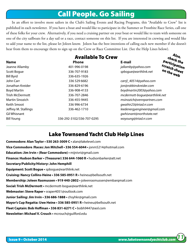# Call People. Go Sailing

In an effort to involve more sailors in the Club's Sailing Events and Racing Programs, this "Available to Crew" list is published in each newsletter. If you have a boat and would like to participate in the Summer or Frostbite Race Series, call one of these folks for your crew. Alternatively, if you need a cruising partner on your boat or would like to team with someone on one of the city sailboats for a day sail or a race, contact someone on this list. If you are interested in crewing and would like to add your name to the list, please let Joleen know. Joleen has the best intentions of calling each new member if she doesn't hear from them to encourage them to sign up on the Crew or Race Committee List. (See the Help Lines below).

|                        | <b>Available To Crew</b>  |                               | Also,                      |  |  |
|------------------------|---------------------------|-------------------------------|----------------------------|--|--|
| <b>Name</b>            | <b>Phone</b>              | E-mail                        | check the<br>participatior |  |  |
| Jeanne Allamby         | 401-996-0198              | jallamby@yahoo.com            | scratch sheet              |  |  |
| Scott Bogue            | 336-707-9183              | spboque@earthlink.net         | on the web                 |  |  |
| <b>Bill Byrd</b>       | 336-635-1926              |                               |                            |  |  |
| John Carr              | 336 529 6682              | carrjl_40514@yahoo.com        |                            |  |  |
| Jonathan Kreider       | 336-829-6196              | jon@robbinskreider.com        |                            |  |  |
| <b>Boyd Martin</b>     | 336-908-4133              | boydmartin2003@yahoo.com      |                            |  |  |
| <b>Trish McDermott</b> | 336-707-2846              | mcdermott-boque@earthlink.net |                            |  |  |
| <b>Martin Sinozich</b> | 336-455-9445              | msinozich@vennpartners.com    |                            |  |  |
| Keith Smoot            | 336 996-6734              | qwaihir23@triad.rr.com        |                            |  |  |
| Jeffrey M. Stallings   | 336-462-1710              | leedenergyengineer@gmail.com  |                            |  |  |
| <b>Gil Whisnant</b>    |                           | gwhisnant@northstate.net      |                            |  |  |
| <b>Bill Young</b>      | 336-292-3102/336-707-0295 | woyoung@triad.rr.com          |                            |  |  |

## Lake Townsend Yacht Club Help Lines

**Commodore: Alan Taylor • 530 263-3009 C •** alan@lakelevel.com **Vice Commodore /Races: Jon Mitchell • 336 554-6044 •** jonm5214@hotmail.com **Education: Jim Irvin • (Rear Commodore) •** mijnivri@gmail.com **Finance: Hudson Barker • (Treasurer) 336 644-1060 R •** hudsonbarker@att.net **Secretary/Publicity/History: John Hemphill Equipment: Scott Bogue •** spbogue@earthlink.net **Cruising: Nancy Collins-Heine • 336 585-0951 R •** heineu@bellsouth.net **Membership: Joleen Rasmussen • 919 440-2802 •** joleenrasmussen@embarqmail.com **Social: Trish McDermott •** mcdermott-bogue@earthlink.net **Webmaster: Steve Raper •** sraper4051@outlook.com **Junior Sailing: Jim Irvin • 336 686-1888 •** chsyhkr@gmail.com **Mayor's Cup Regatta: Uwe Heine • 336 585-0951 R •** heineu@bellsouth.net **Fleet Captain: Bob Hoffman • 336 831-6271 C •** bobh9447@aol.com **Newsletter: Michael V. Crouch •** mcrouch@guilford.edu

Also, check the participation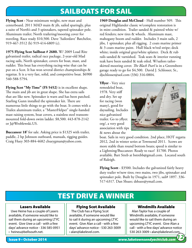# SAILBOATS FOR SAIL

**Flying Scot -** Near minimum weight, new mast and centerboard. 2011 MAD main & jib, sailed sparingly, plus a suite of North's and 3 spinnakers, tapered spinnaker pole. Aluminum trailer; North trailering/mooring cover for traveling. Race ready \$10,500. Dave 'Sailordave' Batchelor, 919-467-3512 (h) 919-414-6809 (c).

**1975 Flying Scot Sailboat # 2680.** W/ 2009 Load Rite galvanized trailer, radical race package, 2-year-old Mad racing sails, North spinnaker, covers for boat, mast, and rudder. This boat has everything racing-wise that can be put on a Scot. It has won several district championships & regattas. It is a very fast, solid, and competitive boat. \$6900 540-588-5794.

**Flying Scot "My Time" (FS 5452)** is in excellent shape. The main and jib are in great shape. She has extra sails that are like new. Spinnaker is warn and has been patched. Starling Gunn installed the spinnaker kit. There are numerous little things to go with the boat. It comes with a Trailex aluminum trailer, a "MasterHelper" single-handed mast raising system, boat covers, a stainless steel transommounted fold-down swim ladder. \$8,500. 443-878-2142 or J@Wroblewski.US.

**Buccaneer 18'** for sale. Asking price is \$1325 with trailer, paddle, 2 hp Johnson outboard, manuals, rigging guides. Craig Huey 303-884-4682 chueygman@yahoo.com.

**1969 Douglas and McCloud** - Hull number 509. This original Highlander classic w/complete restoration is in mint condition. Trailer sanded & painted white w/ red fenders; new tires & wheels. Aluminum mast, mahogany boom and rudder. Includes 3 main sails, 2 jibs, 1 spinnaker, plus all rigging. 2 coats marine primer & 3 coats marine paint. Hull black w/red stripe; deck white; inside original gray/white splatter. Deck & rub rails sanded & varnished. Teak seats & interior running teak have been sanded & teak oiled. W/sailors tailorskirted mooring cover. *The Black Pearl* is in a Greensboro garage ready to go for \$4,500. David J. Schlosser, Sr., djschlosser@aol.com (336) 316-0804.

**Yflyer** - Very nice remodeled boat, 1978. Very stiff and dry. Set up for racing (won many), good for daysailing. Includes nice galvanized trailer. Go to yflyer. org/, a very good association with tips & news about the



boat. Sails in very good condition. 2nd place, HOT regatta 2012, 2nd in winter series at Townsend 2011. Scows are more stable than round bottom boats; speed is similar to a Lightning/Buccaneer. Ready to race! \$1700. Photos available. Bart Streb at bstrebb@gmail.com. Located south of Raleigh.

**Flying Scott** - \$3500. Includes the galvanized fairly heavy duty trailer w/new tires; two mains, two jibs, spinnaker and spinnaker pole. Built by Douglas in 1971, sail# 1897. 336-517-6317. Dan Shuee; dshuee@ymail.com.

# TEST DRIVE A WINNER

#### Lasers Available

 Uwe Heine has a couple of Lasers available, if someone would like to sail them during an upcoming LTYC event. Give Uwe a call - with a few days' advance notice - 336 585-0951 • heineu@bellsouth.net.

#### Flying Scot Available

 The Club has a Flying Scot available, if someone would like to sail it during an upcoming LTYC event. Give Alan a call - with a few days' advance notice - 530 263-3009 • alan@lakelevel.com.

#### Windmills Available

 Alan Taylor has a couple of Windmills available, if someone would like to sail them during an upcoming LTYC event. Give Alan a call - with a few days' advance notice 530 263-3009 • alan@lakelevel.com.

*12*